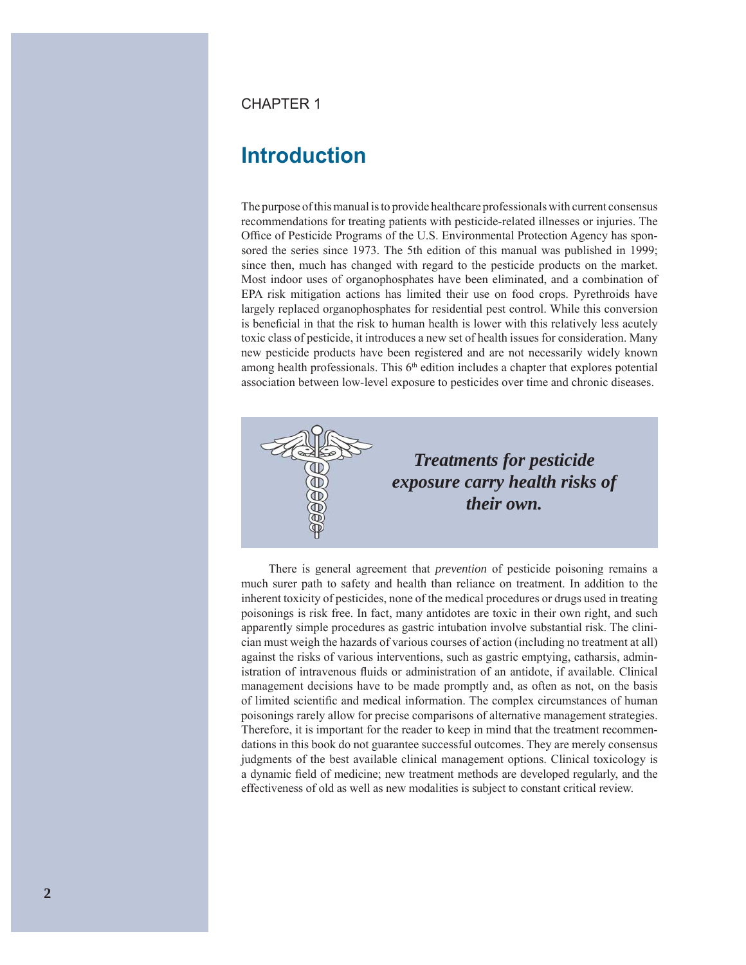### **CHAPTER 1**

# **Introduction**

The purpose of this manual is to provide healthcare professionals with current consensus recommendations for treating patients with pesticide-related illnesses or injuries. The Office of Pesticide Programs of the U.S. Environmental Protection Agency has sponsored the series since 1973. The 5th edition of this manual was published in 1999; since then, much has changed with regard to the pesticide products on the market. Most indoor uses of organophosphates have been eliminated, and a combination of EPA risk mitigation actions has limited their use on food crops. Pyrethroids have largely replaced organophosphates for residential pest control. While this conversion is beneficial in that the risk to human health is lower with this relatively less acutely toxic class of pesticide, it introduces a new set of health issues for consideration. Many new pesticide products have been registered and are not necessarily widely known among health professionals. This 6<sup>th</sup> edition includes a chapter that explores potential association between low-level exposure to pesticides over time and chronic diseases.



There is general agreement that *prevention* of pesticide poisoning remains a much surer path to safety and health than reliance on treatment. In addition to the inherent toxicity of pesticides, none of the medical procedures or drugs used in treating poisonings is risk free. In fact, many antidotes are toxic in their own right, and such apparently simple procedures as gastric intubation involve substantial risk. The clinician must weigh the hazards of various courses of action (including no treatment at all) against the risks of various interventions, such as gastric emptying, catharsis, administration of intravenous fluids or administration of an antidote, if available. Clinical management decisions have to be made promptly and, as often as not, on the basis of limited scientific and medical information. The complex circumstances of human poisonings rarely allow for precise comparisons of alternative management strategies. Therefore, it is important for the reader to keep in mind that the treatment recommendations in this book do not guarantee successful outcomes. They are merely consensus judgments of the best available clinical management options. Clinical toxicology is a dynamic field of medicine; new treatment methods are developed regularly, and the effectiveness of old as well as new modalities is subject to constant critical review.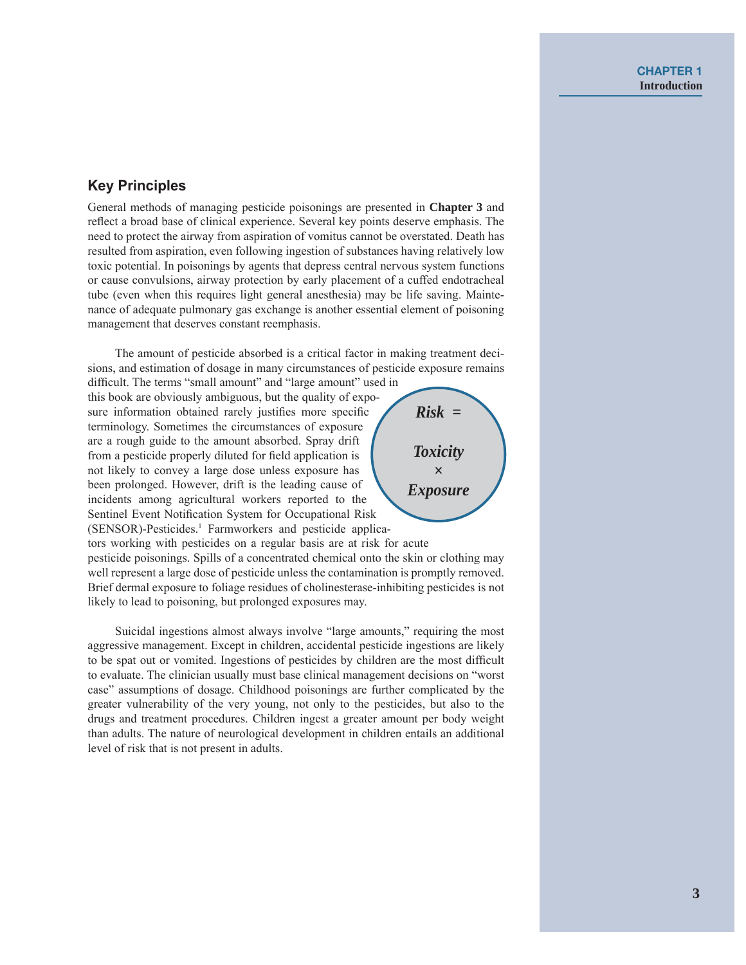# **Key Principles**

General methods of managing pesticide poisonings are presented in Chapter 3 and reflect a broad base of clinical experience. Several key points deserve emphasis. The need to protect the airway from aspiration of vomitus cannot be overstated. Death has resulted from aspiration, even following ingestion of substances having relatively low toxic potential. In poisonings by agents that depress central nervous system functions or cause convulsions, airway protection by early placement of a cuffed endotracheal tube (even when this requires light general anesthesia) may be life saving. Maintenance of adequate pulmonary gas exchange is another essential element of poisoning management that deserves constant reemphasis.

The amount of pesticide absorbed is a critical factor in making treatment decisions, and estimation of dosage in many circumstances of pesticide exposure remains

difficult. The terms "small amount" and "large amount" used in this book are obviously ambiguous, but the quality of exposure information obtained rarely justifies more specific terminology. Sometimes the circumstances of exposure are a rough guide to the amount absorbed. Spray drift from a pesticide properly diluted for field application is not likely to convey a large dose unless exposure has been prolonged. However, drift is the leading cause of incidents among agricultural workers reported to the Sentinel Event Notification System for Occupational Risk (SENSOR)-Pesticides.<sup>1</sup> Farmworkers and pesticide applica-



tors working with pesticides on a regular basis are at risk for acute pesticide poisonings. Spills of a concentrated chemical onto the skin or clothing may well represent a large dose of pesticide unless the contamination is promptly removed. Brief dermal exposure to foliage residues of cholinesterase-inhibiting pesticides is not likely to lead to poisoning, but prolonged exposures may.

Suicidal ingestions almost always involve "large amounts," requiring the most aggressive management. Except in children, accidental pesticide ingestions are likely to be spat out or vomited. Ingestions of pesticides by children are the most difficult to evaluate. The clinician usually must base clinical management decisions on "worst" case" assumptions of dosage. Childhood poisonings are further complicated by the greater vulnerability of the very young, not only to the pesticides, but also to the drugs and treatment procedures. Children ingest a greater amount per body weight than adults. The nature of neurological development in children entails an additional level of risk that is not present in adults.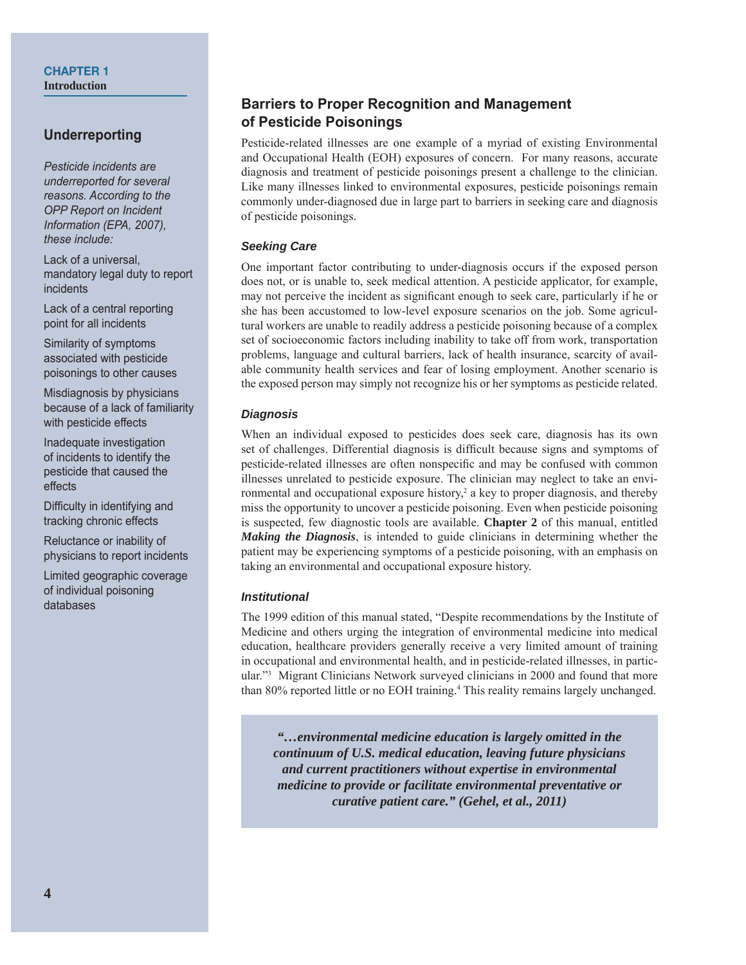#### **CHAPTER 1 Introduction**

# **Underreporting**

Pesticide incidents are underreported for several reasons. According to the **OPP Report on Incident** Information (EPA, 2007), these include:

Lack of a universal. mandatory legal duty to report incidents

Lack of a central reporting point for all incidents

Similarity of symptoms associated with pesticide poisonings to other causes

Misdiagnosis by physicians because of a lack of familiarity with pesticide effects

Inadequate investigation of incidents to identify the pesticide that caused the effects

Difficulty in identifying and tracking chronic effects

Reluctance or inability of physicians to report incidents

Limited geographic coverage of individual poisoning databases

# **Barriers to Proper Recognition and Management** of Pesticide Poisonings

Pesticide-related illnesses are one example of a myriad of existing Environmental and Occupational Health (EOH) exposures of concern. For many reasons, accurate diagnosis and treatment of pesticide poisonings present a challenge to the clinician. Like many illnesses linked to environmental exposures, pesticide poisonings remain commonly under-diagnosed due in large part to barriers in seeking care and diagnosis of pesticide poisonings.

### **Seeking Care**

One important factor contributing to under-diagnosis occurs if the exposed person does not, or is unable to, seek medical attention. A pesticide applicator, for example, may not perceive the incident as significant enough to seek care, particularly if he or she has been accustomed to low-level exposure scenarios on the job. Some agricultural workers are unable to readily address a pesticide poisoning because of a complex set of socioeconomic factors including inability to take off from work, transportation problems, language and cultural barriers, lack of health insurance, scarcity of available community health services and fear of losing employment. Another scenario is the exposed person may simply not recognize his or her symptoms as pesticide related.

### **Diagnosis**

When an individual exposed to pesticides does seek care, diagnosis has its own set of challenges. Differential diagnosis is difficult because signs and symptoms of pesticide-related illnesses are often nonspecific and may be confused with common illnesses unrelated to pesticide exposure. The clinician may neglect to take an environmental and occupational exposure history,<sup>2</sup> a key to proper diagnosis, and thereby miss the opportunity to uncover a pesticide poisoning. Even when pesticide poisoning is suspected, few diagnostic tools are available. Chapter 2 of this manual, entitled Making the Diagnosis, is intended to guide clinicians in determining whether the patient may be experiencing symptoms of a pesticide poisoning, with an emphasis on taking an environmental and occupational exposure history.

### **Institutional**

The 1999 edition of this manual stated, "Despite recommendations by the Institute of Medicine and others urging the integration of environmental medicine into medical education, healthcare providers generally receive a very limited amount of training in occupational and environmental health, and in pesticide-related illnesses, in particular."<sup>3</sup> Migrant Clinicians Network surveyed clinicians in 2000 and found that more than 80% reported little or no EOH training.<sup>4</sup> This reality remains largely unchanged.

"...environmental medicine education is largely omitted in the continuum of U.S. medical education, leaving future physicians and current practitioners without expertise in environmental medicine to provide or facilitate environmental preventative or curative patient care." (Gehel, et al., 2011)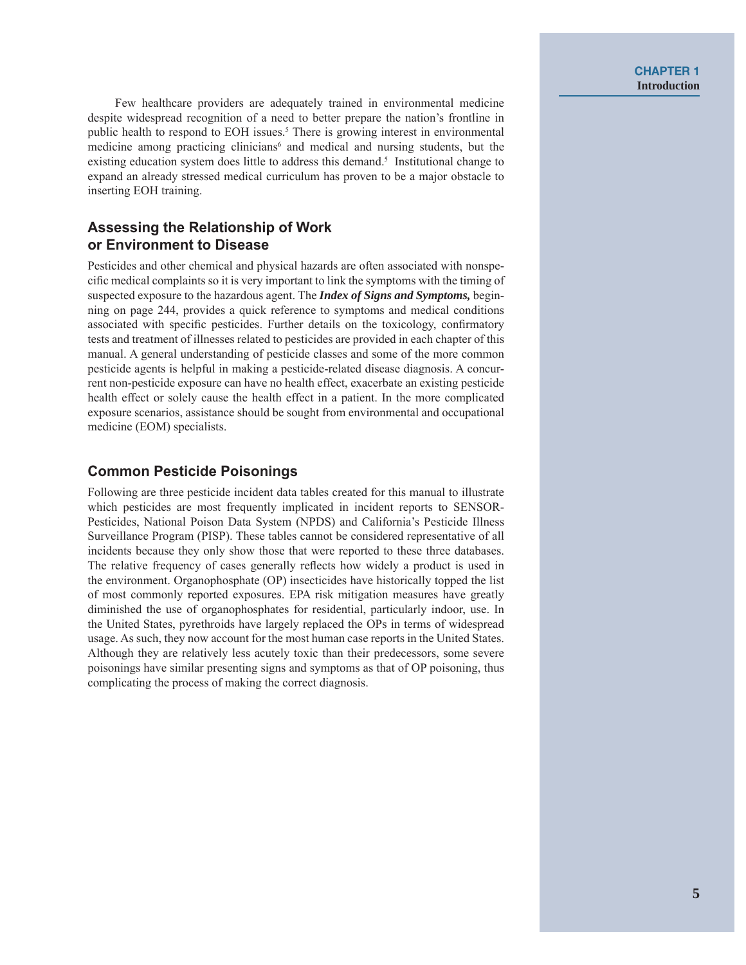Few healthcare providers are adequately trained in environmental medicine despite widespread recognition of a need to better prepare the nation's frontline in public health to respond to EOH issues.<sup>5</sup> There is growing interest in environmental medicine among practicing clinicians<sup>6</sup> and medical and nursing students, but the existing education system does little to address this demand.<sup>5</sup> Institutional change to expand an already stressed medical curriculum has proven to be a major obstacle to inserting EOH training.

# Assessing the Relationship of Work or Environment to Disease

Pesticides and other chemical and physical hazards are often associated with nonspecific medical complaints so it is very important to link the symptoms with the timing of suspected exposure to the hazardous agent. The *Index of Signs and Symptoms*, beginning on page 244, provides a quick reference to symptoms and medical conditions associated with specific pesticides. Further details on the toxicology, confirmatory tests and treatment of illnesses related to pesticides are provided in each chapter of this manual. A general understanding of pesticide classes and some of the more common pesticide agents is helpful in making a pesticide-related disease diagnosis. A concurrent non-pesticide exposure can have no health effect, exacerbate an existing pesticide health effect or solely cause the health effect in a patient. In the more complicated exposure scenarios, assistance should be sought from environmental and occupational medicine (EOM) specialists.

## **Common Pesticide Poisonings**

Following are three pesticide incident data tables created for this manual to illustrate which pesticides are most frequently implicated in incident reports to SENSOR-Pesticides, National Poison Data System (NPDS) and California's Pesticide Illness Surveillance Program (PISP). These tables cannot be considered representative of all incidents because they only show those that were reported to these three databases. The relative frequency of cases generally reflects how widely a product is used in the environment. Organophosphate (OP) insecticides have historically topped the list of most commonly reported exposures. EPA risk mitigation measures have greatly diminished the use of organophosphates for residential, particularly indoor, use. In the United States, pyrethroids have largely replaced the OPs in terms of widespread usage. As such, they now account for the most human case reports in the United States. Although they are relatively less acutely toxic than their predecessors, some severe poisonings have similar presenting signs and symptoms as that of OP poisoning, thus complicating the process of making the correct diagnosis.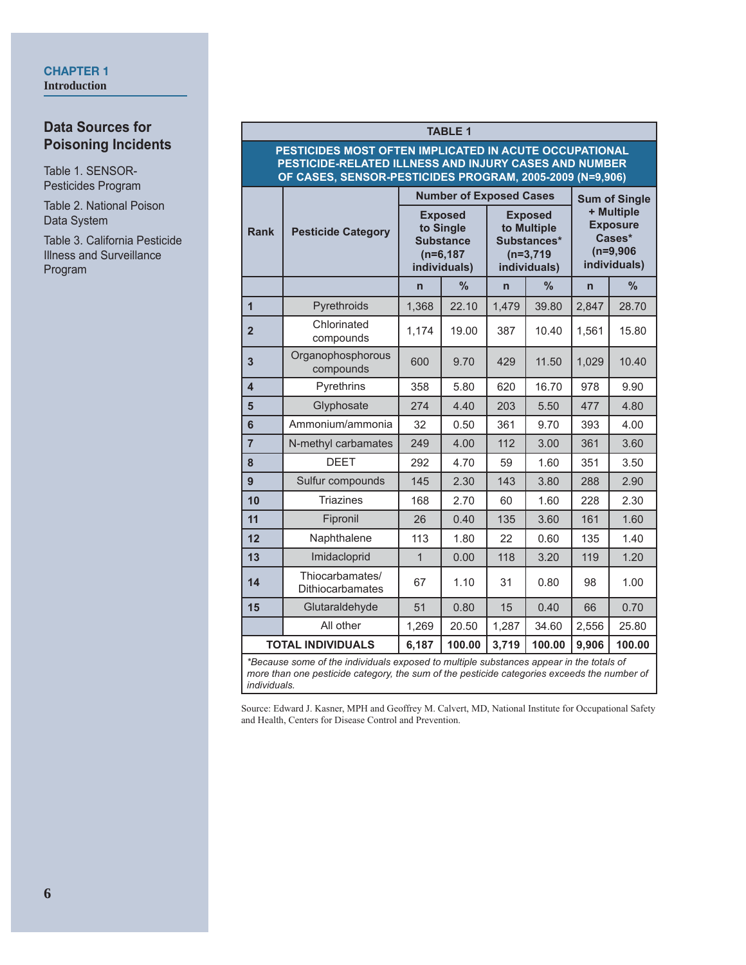### **CHAPTER 1 Introduction**

# **Data Sources for Poisoning Incidents**

Table 1. SENSOR-Pesticides Program

Table 2. National Poison Data System

Table 3. California Pesticide Illness and Surveillance Program

### **TABLE 1**

#### **PESTICIDES MOST OFTEN IMPLICATED IN ACUTE OCCUPATIONAL PESTICIDE-RELATED ILLNESS AND INJURY CASES AND NUMBER OF CASES, SENSOR-PESTICIDES PROGRAM, 2005-2009 (N=9,906)**

|                                                                                                                                                                                                        |                                     |                                                                                 | <b>Number of Exposed Cases</b> | <b>Sum of Single</b><br>+ Multiple<br><b>Exposure</b><br>Cases*<br>$(n=9,906)$<br>individuals) |        |                                                                             |        |
|--------------------------------------------------------------------------------------------------------------------------------------------------------------------------------------------------------|-------------------------------------|---------------------------------------------------------------------------------|--------------------------------|------------------------------------------------------------------------------------------------|--------|-----------------------------------------------------------------------------|--------|
| <b>Rank</b>                                                                                                                                                                                            | <b>Pesticide Category</b>           | <b>Exposed</b><br>to Single<br><b>Substance</b><br>$(n=6, 187)$<br>individuals) |                                |                                                                                                |        | <b>Exposed</b><br>to Multiple<br>Substances*<br>$(n=3,719)$<br>individuals) |        |
|                                                                                                                                                                                                        |                                     | $\overline{n}$                                                                  | $\%$                           | $\overline{n}$                                                                                 | %      | $\mathsf{n}$                                                                | %      |
| $\overline{1}$                                                                                                                                                                                         | Pyrethroids                         | 1,368                                                                           | 22.10                          | 1,479                                                                                          | 39.80  | 2,847                                                                       | 28.70  |
| $\overline{2}$                                                                                                                                                                                         | Chlorinated<br>compounds            | 1,174                                                                           | 19.00                          | 387                                                                                            | 10.40  | 1,561                                                                       | 15.80  |
| 3                                                                                                                                                                                                      | Organophosphorous<br>compounds      | 600                                                                             | 9.70                           | 429                                                                                            | 11.50  | 1,029                                                                       | 10.40  |
| 4                                                                                                                                                                                                      | Pyrethrins                          | 358                                                                             | 5.80                           | 620                                                                                            | 16.70  | 978                                                                         | 9.90   |
| 5                                                                                                                                                                                                      | Glyphosate                          | 274                                                                             | 4.40                           | 203                                                                                            | 5.50   | 477                                                                         | 4.80   |
| 6                                                                                                                                                                                                      | Ammonium/ammonia                    | 32                                                                              | 0.50                           | 361                                                                                            | 9.70   | 393                                                                         | 4.00   |
| $\overline{7}$                                                                                                                                                                                         | N-methyl carbamates                 | 249                                                                             | 4.00                           | 112                                                                                            | 3.00   | 361                                                                         | 3.60   |
| 8                                                                                                                                                                                                      | <b>DEET</b>                         | 292                                                                             | 4.70                           | 59                                                                                             | 1.60   | 351                                                                         | 3.50   |
| 9                                                                                                                                                                                                      | Sulfur compounds                    | 145                                                                             | 2.30                           | 143                                                                                            | 3.80   | 288                                                                         | 2.90   |
| 10                                                                                                                                                                                                     | <b>Triazines</b>                    | 168                                                                             | 2.70                           | 60                                                                                             | 1.60   | 228                                                                         | 2.30   |
| 11                                                                                                                                                                                                     | Fipronil                            | 26                                                                              | 0.40                           | 135                                                                                            | 3.60   | 161                                                                         | 1.60   |
| 12                                                                                                                                                                                                     | Naphthalene                         | 113                                                                             | 1.80                           | 22                                                                                             | 0.60   | 135                                                                         | 1.40   |
| 13                                                                                                                                                                                                     | Imidacloprid                        | $\mathbf{1}$                                                                    | 0.00                           | 118                                                                                            | 3.20   | 119                                                                         | 1.20   |
| 14                                                                                                                                                                                                     | Thiocarbamates/<br>Dithiocarbamates | 67                                                                              | 1.10                           | 31                                                                                             | 0.80   | 98                                                                          | 1.00   |
| 15                                                                                                                                                                                                     | Glutaraldehyde                      | 51                                                                              | 0.80                           | 15                                                                                             | 0.40   | 66                                                                          | 0.70   |
|                                                                                                                                                                                                        | All other                           | 1,269                                                                           | 20.50                          | 1,287                                                                                          | 34.60  | 2,556                                                                       | 25.80  |
|                                                                                                                                                                                                        | <b>TOTAL INDIVIDUALS</b>            | 6,187                                                                           | 100.00                         | 3,719                                                                                          | 100.00 | 9,906                                                                       | 100.00 |
| *Because some of the individuals exposed to multiple substances appear in the totals of<br>more than one pesticide category, the sum of the pesticide categories exceeds the number of<br>individuals. |                                     |                                                                                 |                                |                                                                                                |        |                                                                             |        |

Source: Edward J. Kasner, MPH and Geoffrey M. Calvert, MD, National Institute for Occupational Safety and Health, Centers for Disease Control and Prevention.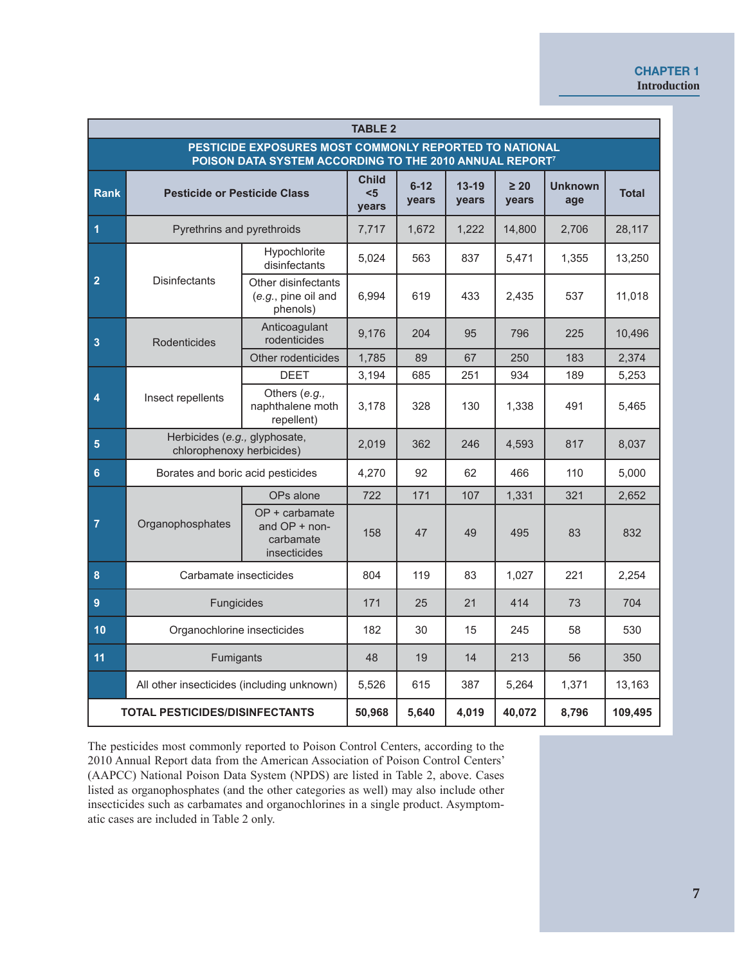### **CHAPTER 1 Introduction**

| <b>TABLE 2</b>                                                                                                                |                                                            |                                                              |                              |                   |                    |                    |                       |              |
|-------------------------------------------------------------------------------------------------------------------------------|------------------------------------------------------------|--------------------------------------------------------------|------------------------------|-------------------|--------------------|--------------------|-----------------------|--------------|
| PESTICIDE EXPOSURES MOST COMMONLY REPORTED TO NATIONAL<br>POISON DATA SYSTEM ACCORDING TO THE 2010 ANNUAL REPORT <sup>7</sup> |                                                            |                                                              |                              |                   |                    |                    |                       |              |
| <b>Rank</b>                                                                                                                   | <b>Pesticide or Pesticide Class</b>                        |                                                              | <b>Child</b><br>$5$<br>years | $6 - 12$<br>years | $13 - 19$<br>years | $\geq 20$<br>years | <b>Unknown</b><br>age | <b>Total</b> |
| $\overline{\mathbf{1}}$                                                                                                       | Pyrethrins and pyrethroids                                 |                                                              | 7,717                        | 1,672             | 1,222              | 14,800             | 2,706                 | 28,117       |
|                                                                                                                               |                                                            | Hypochlorite<br>disinfectants                                | 5,024                        | 563               | 837                | 5,471              | 1,355                 | 13,250       |
| $\overline{2}$                                                                                                                | <b>Disinfectants</b>                                       | Other disinfectants<br>(e.g., pine oil and<br>phenols)       | 6,994                        | 619               | 433                | 2,435              | 537                   | 11,018       |
| $\overline{\mathbf{3}}$                                                                                                       | <b>Rodenticides</b>                                        | Anticoagulant<br>rodenticides                                | 9,176                        | 204               | 95                 | 796                | 225                   | 10,496       |
|                                                                                                                               |                                                            | Other rodenticides                                           | 1,785                        | 89                | 67                 | 250                | 183                   | 2,374        |
|                                                                                                                               |                                                            | <b>DEET</b>                                                  | 3,194                        | 685               | 251                | 934                | 189                   | 5,253        |
| 4                                                                                                                             | Insect repellents                                          | Others (e.g.,<br>naphthalene moth<br>repellent)              | 3,178                        | 328               | 130                | 1,338              | 491                   | 5,465        |
| $\overline{\mathbf{5}}$                                                                                                       | Herbicides (e.g., glyphosate,<br>chlorophenoxy herbicides) |                                                              | 2,019                        | 362               | 246                | 4,593              | 817                   | 8,037        |
| $6\phantom{a}$                                                                                                                | Borates and boric acid pesticides                          |                                                              | 4,270                        | 92                | 62                 | 466                | 110                   | 5,000        |
|                                                                                                                               |                                                            | OPs alone                                                    | 722                          | 171               | 107                | 1,331              | 321                   | 2,652        |
| $\overline{7}$                                                                                                                | Organophosphates                                           | OP + carbamate<br>and OP + non-<br>carbamate<br>insecticides | 158                          | 47                | 49                 | 495                | 83                    | 832          |
| $\bf{8}$                                                                                                                      | Carbamate insecticides                                     |                                                              | 804                          | 119               | 83                 | 1,027              | 221                   | 2,254        |
| $\boldsymbol{9}$                                                                                                              | Fungicides                                                 |                                                              | 171                          | 25                | 21                 | 414                | 73                    | 704          |
| 10                                                                                                                            | Organochlorine insecticides                                |                                                              | 182                          | 30                | 15                 | 245                | 58                    | 530          |
| 11                                                                                                                            | Fumigants                                                  |                                                              | 48                           | 19                | 14                 | 213                | 56                    | 350          |
|                                                                                                                               | All other insecticides (including unknown)                 |                                                              | 5,526                        | 615               | 387                | 5,264              | 1,371                 | 13,163       |
| <b>TOTAL PESTICIDES/DISINFECTANTS</b>                                                                                         |                                                            | 50,968                                                       | 5,640                        | 4,019             | 40,072             | 8,796              | 109,495               |              |

The pesticides most commonly reported to Poison Control Centers, according to the 2010 Annual Report data from the American Association of Poison Control Centers' (AAPCC) National Poison Data System (NPDS) are listed in Table 2, above. Cases listed as organophosphates (and the other categories as well) may also include other insecticides such as carbamates and organochlorines in a single product. Asymptomatic cases are included in Table 2 only.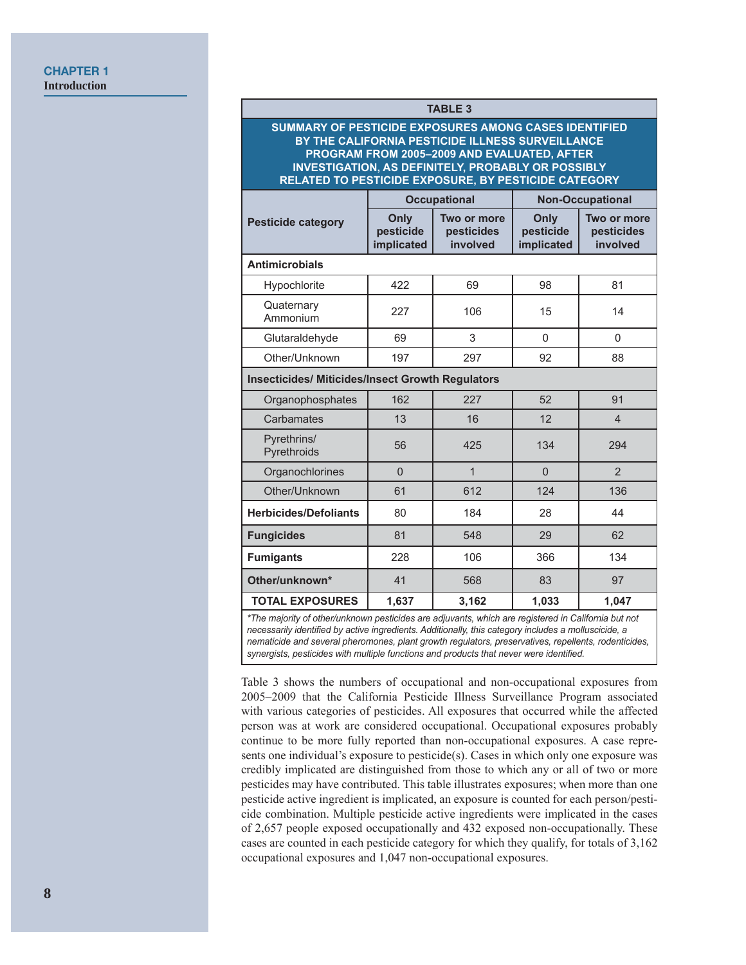| <b>TABLE 3</b>                                                                                                                                                                                                                                                                |                                 |                                       |                                 |                                       |  |  |  |  |
|-------------------------------------------------------------------------------------------------------------------------------------------------------------------------------------------------------------------------------------------------------------------------------|---------------------------------|---------------------------------------|---------------------------------|---------------------------------------|--|--|--|--|
| SUMMARY OF PESTICIDE EXPOSURES AMONG CASES IDENTIFIED<br>BY THE CALIFORNIA PESTICIDE ILLNESS SURVEILLANCE<br>PROGRAM FROM 2005-2009 AND EVALUATED, AFTER<br><b>INVESTIGATION, AS DEFINITELY, PROBABLY OR POSSIBLY</b><br>RELATED TO PESTICIDE EXPOSURE, BY PESTICIDE CATEGORY |                                 |                                       |                                 |                                       |  |  |  |  |
|                                                                                                                                                                                                                                                                               |                                 | <b>Occupational</b>                   | <b>Non-Occupational</b>         |                                       |  |  |  |  |
| <b>Pesticide category</b>                                                                                                                                                                                                                                                     | Only<br>pesticide<br>implicated | Two or more<br>pesticides<br>involved | Only<br>pesticide<br>implicated | Two or more<br>pesticides<br>involved |  |  |  |  |
| <b>Antimicrobials</b>                                                                                                                                                                                                                                                         |                                 |                                       |                                 |                                       |  |  |  |  |
| Hypochlorite                                                                                                                                                                                                                                                                  | 422                             | 69                                    | 98                              | 81                                    |  |  |  |  |
| Quaternary<br>Ammonium                                                                                                                                                                                                                                                        | 227                             | 106                                   | 15                              | 14                                    |  |  |  |  |
| Glutaraldehyde                                                                                                                                                                                                                                                                | 69                              | 3                                     | $\Omega$                        | $\Omega$                              |  |  |  |  |
| Other/Unknown                                                                                                                                                                                                                                                                 | 197                             | 297                                   | 92                              | 88                                    |  |  |  |  |
| <b>Insecticides/ Miticides/Insect Growth Regulators</b>                                                                                                                                                                                                                       |                                 |                                       |                                 |                                       |  |  |  |  |
| Organophosphates                                                                                                                                                                                                                                                              | 162                             | 227                                   | 52                              | 91                                    |  |  |  |  |
| Carbamates                                                                                                                                                                                                                                                                    | 13                              | 16                                    | 12                              | $\overline{4}$                        |  |  |  |  |
| Pyrethrins/<br>Pyrethroids                                                                                                                                                                                                                                                    | 56                              | 425                                   | 134                             | 294                                   |  |  |  |  |
| Organochlorines                                                                                                                                                                                                                                                               | $\Omega$                        | $\overline{1}$                        | $\Omega$                        | $\overline{2}$                        |  |  |  |  |
| Other/Unknown                                                                                                                                                                                                                                                                 | 61                              | 612                                   | 124                             | 136                                   |  |  |  |  |
| <b>Herbicides/Defoliants</b>                                                                                                                                                                                                                                                  | 80                              | 184                                   | 28                              | 44                                    |  |  |  |  |
| <b>Fungicides</b>                                                                                                                                                                                                                                                             | 81                              | 548                                   | 29                              | 62                                    |  |  |  |  |
| <b>Fumigants</b>                                                                                                                                                                                                                                                              | 228                             | 106                                   | 366                             | 134                                   |  |  |  |  |
| Other/unknown*                                                                                                                                                                                                                                                                | 41                              | 568                                   | 83                              | 97                                    |  |  |  |  |

*\*The majority of other/unknown pesticides are adjuvants, which are registered in California but not necessarily identified by active ingredients. Additionally, this category includes a molluscicide, a nematicide and several pheromones, plant growth regulators, preservatives, repellents, rodenticides,*  synergists, pesticides with multiple functions and products that never were identified.

**TOTAL EXPOSURES** | 1,637 | 3,162 | 1,033 | 1,047

Table 3 shows the numbers of occupational and non-occupational exposures from 2005-2009 that the California Pesticide Illness Surveillance Program associated with various categories of pesticides. All exposures that occurred while the affected person was at work are considered occupational. Occupational exposures probably continue to be more fully reported than non-occupational exposures. A case represents one individual's exposure to pesticide(s). Cases in which only one exposure was credibly implicated are distinguished from those to which any or all of two or more pesticides may have contributed. This table illustrates exposures; when more than one pesticide active ingredient is implicated, an exposure is counted for each person/pesticide combination. Multiple pesticide active ingredients were implicated in the cases of 2,657 people exposed occupationally and 432 exposed non-occupationally. These cases are counted in each pesticide category for which they qualify, for totals of 3,162 occupational exposures and 1,047 non-occupational exposures.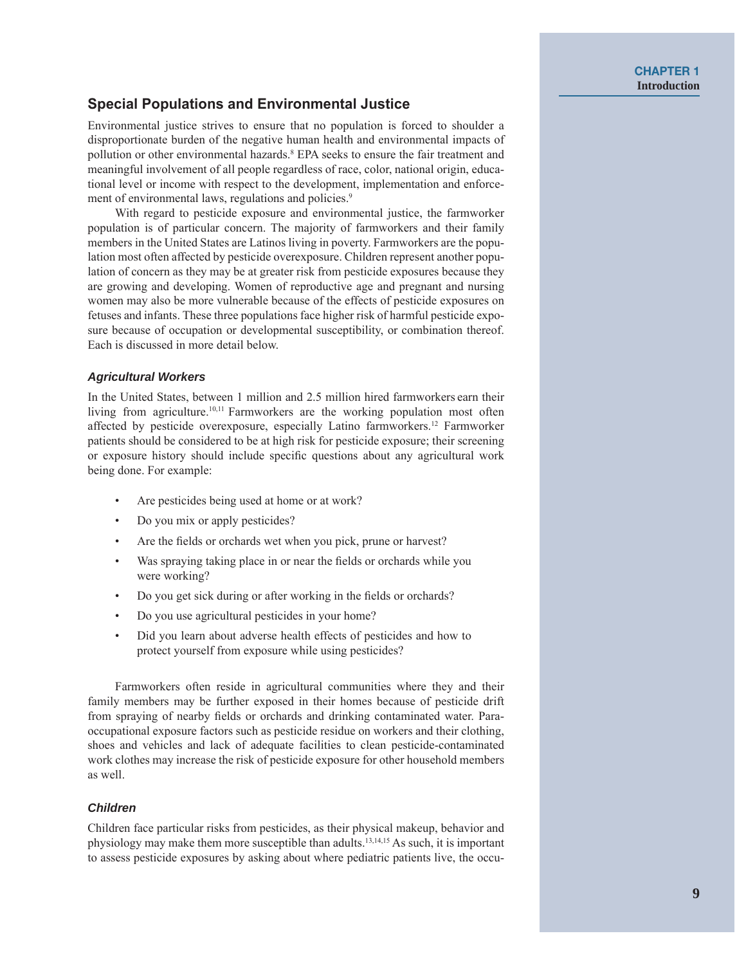# **Special Populations and Environmental Justice**

Environmental justice strives to ensure that no population is forced to shoulder a disproportionate burden of the negative human health and environmental impacts of pollution or other environmental hazards.<sup>8</sup> EPA seeks to ensure the fair treatment and meaningful involvement of all people regardless of race, color, national origin, educational level or income with respect to the development, implementation and enforcement of environmental laws, regulations and policies.<sup>9</sup>

With regard to pesticide exposure and environmental justice, the farmworker population is of particular concern. The majority of farmworkers and their family members in the United States are Latinos living in poverty. Farmworkers are the population most often affected by pesticide overexposure. Children represent another population of concern as they may be at greater risk from pesticide exposures because they are growing and developing. Women of reproductive age and pregnant and nursing women may also be more vulnerable because of the effects of pesticide exposures on fetuses and infants. These three populations face higher risk of harmful pesticide exposure because of occupation or developmental susceptibility, or combination thereof. Each is discussed in more detail below.

#### **Agricultural Workers**

In the United States, between 1 million and 2.5 million hired farmworkers earn their living from agriculture.<sup>10,11</sup> Farmworkers are the working population most often affected by pesticide overexposure, especially Latino farmworkers.<sup>12</sup> Farmworker patients should be considered to be at high risk for pesticide exposure; their screening or exposure history should include specific questions about any agricultural work being done. For example:

- Are pesticides being used at home or at work?
- Do you mix or apply pesticides?
- Are the fields or orchards wet when you pick, prune or harvest?
- Was spraying taking place in or near the fields or orchards while you were working?
- Do you get sick during or after working in the fields or orchards?
- Do you use agricultural pesticides in your home?
- $\ddot{\phantom{a}}$ Did you learn about adverse health effects of pesticides and how to protect yourself from exposure while using pesticides?

Farmworkers often reside in agricultural communities where they and their family members may be further exposed in their homes because of pesticide drift from spraying of nearby fields or orchards and drinking contaminated water. Paraoccupational exposure factors such as pesticide residue on workers and their clothing, shoes and vehicles and lack of adequate facilities to clean pesticide-contaminated work clothes may increase the risk of pesticide exposure for other household members as well.

#### **Children**

Children face particular risks from pesticides, as their physical makeup, behavior and physiology may make them more susceptible than adults.<sup>13,14,15</sup> As such, it is important to assess pesticide exposures by asking about where pediatric patients live, the occu-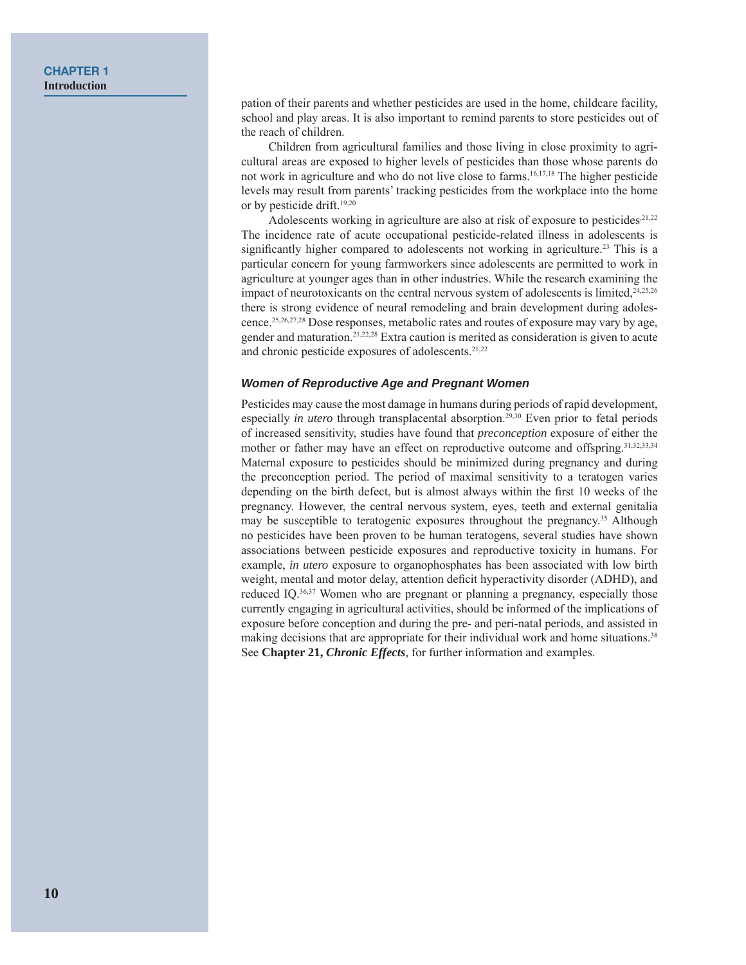#### **CHAPTER 1 Introduction**

pation of their parents and whether pesticides are used in the home, childcare facility, school and play areas. It is also important to remind parents to store pesticides out of the reach of children.

Children from agricultural families and those living in close proximity to agricultural areas are exposed to higher levels of pesticides than those whose parents do not work in agriculture and who do not live close to farms.<sup>16,17,18</sup> The higher pesticide levels may result from parents' tracking pesticides from the workplace into the home or by pesticide drift.<sup>19,20</sup>

Adolescents working in agriculture are also at risk of exposure to pesticides, 21,22 The incidence rate of acute occupational pesticide-related illness in adolescents is significantly higher compared to adolescents not working in agriculture.<sup>23</sup> This is a particular concern for young farmworkers since adolescents are permitted to work in agriculture at younger ages than in other industries. While the research examining the impact of neurotoxicants on the central nervous system of adolescents is limited, $24,25,26$ there is strong evidence of neural remodeling and brain development during adolescence.<sup>25,26,27,28</sup> Dose responses, metabolic rates and routes of exposure may vary by age, gender and maturation.<sup>21,22,28</sup> Extra caution is merited as consideration is given to acute and chronic pesticide exposures of adolescents.<sup>21,22</sup>

#### Women of Reproductive Age and Pregnant Women

Pesticides may cause the most damage in humans during periods of rapid development. especially *in utero* through transplacental absorption.<sup>29,30</sup> Even prior to fetal periods of increased sensitivity, studies have found that *preconception* exposure of either the mother or father may have an effect on reproductive outcome and offspring.<sup>31,32,33,34</sup> Maternal exposure to pesticides should be minimized during pregnancy and during the preconception period. The period of maximal sensitivity to a teratogen varies depending on the birth defect, but is almost always within the first 10 weeks of the pregnancy. However, the central nervous system, eves, teeth and external genitalia may be susceptible to teratogenic exposures throughout the pregnancy.<sup>35</sup> Although no pesticides have been proven to be human teratogens, several studies have shown associations between pesticide exposures and reproductive toxicity in humans. For example, *in utero* exposure to organophosphates has been associated with low birth weight, mental and motor delay, attention deficit hyperactivity disorder (ADHD), and reduced IQ.<sup>36,37</sup> Women who are pregnant or planning a pregnancy, especially those currently engaging in agricultural activities, should be informed of the implications of exposure before conception and during the pre- and peri-natal periods, and assisted in making decisions that are appropriate for their individual work and home situations.<sup>38</sup> See Chapter 21, *Chronic Effects*, for further information and examples.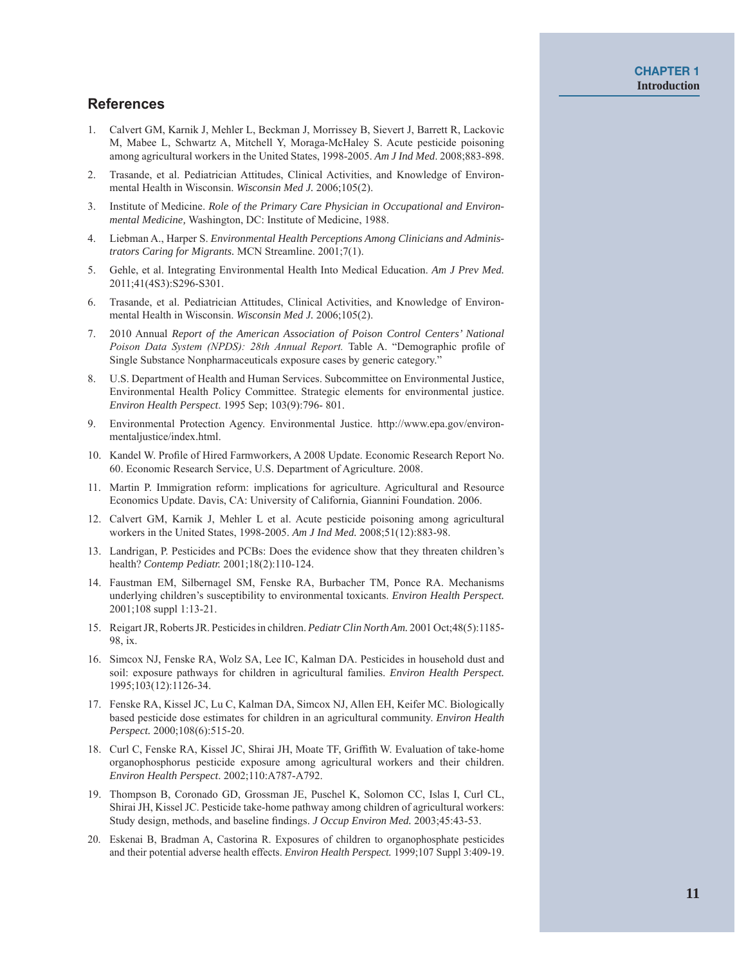### **References**

- 1. Calvert GM, Karnik J, Mehler L, Beckman J, Morrissey B, Sievert J, Barrett R, Lackovic M, Mabee L, Schwartz A, Mitchell Y, Moraga-McHaley S. Acute pesticide poisoning among agricultural workers in the United States, 1998-2005. Am J Ind Med. 2008;883-898.
- 2. Trasande, et al. Pediatrician Attitudes, Clinical Activities, and Knowledge of Environmental Health in Wisconsin. Wisconsin Med J. 2006;105(2).
- 3. Institute of Medicine. Role of the Primary Care Physician in Occupational and Environ*mental Medicine, Washington, DC: Institute of Medicine, 1988.*
- 4. Liebman A., Harper S. *Environmental Health Perceptions Among Clinicians and Administrators Caring for Migrants.* MCN Streamline. 2001;7(1).
- 5. Gehle, et al. Integrating Environmental Health Into Medical Education. Am J Prev Med. 2011;41(4S3):S296-S301.
- 6. Trasande, et al. Pediatrician Attitudes, Clinical Activities, and Knowledge of Environmental Health in Wisconsin. Wisconsin Med J. 2006;105(2).
- 7. 2010 Annual Report of the American Association of Poison Control Centers' National *Poison Data System (NPDS): 28th Annual Report.* Table A. "Demographic profile of Single Substance Nonpharmaceuticals exposure cases by generic category."
- 8. U.S. Department of Health and Human Services. Subcommittee on Environmental Justice, Environmental Health Policy Committee. Strategic elements for environmental justice. *Environ Health Perspect.* 1995 Sep; 103(9):796-801.
- 9. Environmental Protection Agency. Environmental Justice. http://www.epa.gov/environmentaljustice/index.html.
- 10. Kandel W. Profile of Hired Farmworkers, A 2008 Update. Economic Research Report No. 60. Economic Research Service, U.S. Department of Agriculture. 2008.
- 11. Martin P. Immigration reform: implications for agriculture. Agricultural and Resource Economics Update. Davis, CA: University of California, Giannini Foundation. 2006.
- 12. Calvert GM, Karnik J, Mehler L et al. Acute pesticide poisoning among agricultural workers in the United States, 1998-2005. Am J Ind Med. 2008;51(12):883-98.
- 13. Landrigan, P. Pesticides and PCBs: Does the evidence show that they threaten children's health? Contemp Pediatr. 2001;18(2):110-124.
- 14. Faustman EM, Silbernagel SM, Fenske RA, Burbacher TM, Ponce RA. Mechanisms underlying children's susceptibility to environmental toxicants. *Environ Health Perspect*. 2001;108 suppl 1:13-21.
- 15. Reigart JR, Roberts JR. Pesticides in children. *Pediatr Clin North Am.* 2001 Oct;48(5):1185-98  $ix$
- 16. Simcox NJ, Fenske RA, Wolz SA, Lee IC, Kalman DA. Pesticides in household dust and soil: exposure pathways for children in agricultural families. *Environ Health Perspect*. 1995;103(12):1126-34.
- 17. Fenske RA, Kissel JC, Lu C, Kalman DA, Simcox NJ, Allen EH, Keifer MC. Biologically based pesticide dose estimates for children in an agricultural community. *Environ Health* Perspect. 2000;108(6):515-20.
- 18. Curl C, Fenske RA, Kissel JC, Shirai JH, Moate TF, Griffith W. Evaluation of take-home organophosphorus pesticide exposure among agricultural workers and their children. *Environ Health Perspect.* 2002;110:A787-A792.
- 19. Thompson B, Coronado GD, Grossman JE, Puschel K, Solomon CC, Islas I, Curl CL, Shirai JH, Kissel JC. Pesticide take-home pathway among children of agricultural workers: Study design, methods, and baseline findings. *J Occup Environ Med.* 2003;45:43-53.
- 20. Eskenai B, Bradman A, Castorina R. Exposures of children to organophosphate pesticides and their potential adverse health effects. *Environ Health Perspect*. 1999;107 Suppl 3:409-19.